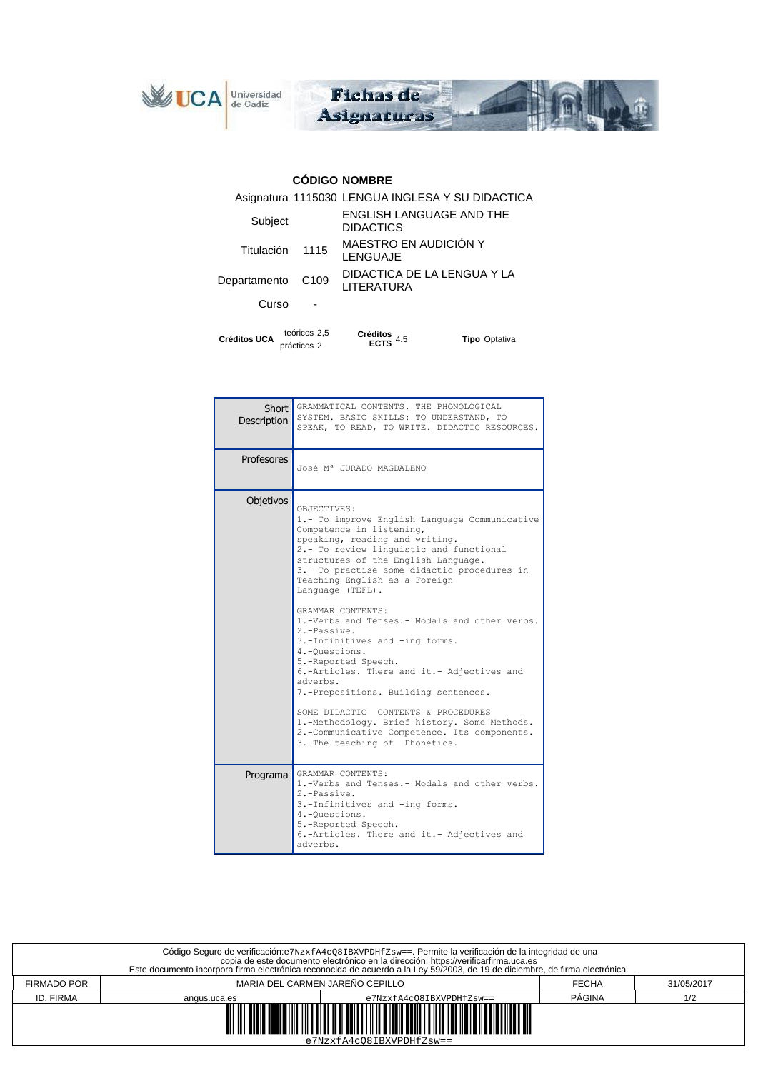



## **CÓDIGO NOMBRE**

| <b>Créditos UCA</b> | teóricos 2,5<br>prácticos 2 | <b>Créditos</b><br>4.5                              | <b>Tipo</b> Optativa |  |
|---------------------|-----------------------------|-----------------------------------------------------|----------------------|--|
| Curso               |                             |                                                     |                      |  |
| Departamento        | C <sub>109</sub>            | DIDACTICA DE LA LENGUA Y LA<br>LITERATURA           |                      |  |
| Titulación          | 1115                        | MAESTRO EN AUDICIÓN Y<br>LENGUAJE                   |                      |  |
| Subject             |                             | <b>ENGLISH LANGUAGE AND THE</b><br><b>DIDACTICS</b> |                      |  |
|                     |                             | Asignatura 1115030 LENGUA INGLESA Y SU DIDACTICA    |                      |  |

| <b>Description</b> | Short GRAMMATICAL CONTENTS. THE PHONOLOGICAL<br>SYSTEM. BASIC SKILLS: TO UNDERSTAND, TO<br>SPEAK, TO READ, TO WRITE. DIDACTIC RESOURCES.                                                                                                                                                                                                                                                                                                                                                                                                                                                                                                                                                                                                                  |  |  |
|--------------------|-----------------------------------------------------------------------------------------------------------------------------------------------------------------------------------------------------------------------------------------------------------------------------------------------------------------------------------------------------------------------------------------------------------------------------------------------------------------------------------------------------------------------------------------------------------------------------------------------------------------------------------------------------------------------------------------------------------------------------------------------------------|--|--|
| Profesores         | José Mª JURADO MAGDALENO                                                                                                                                                                                                                                                                                                                                                                                                                                                                                                                                                                                                                                                                                                                                  |  |  |
| Objetivos          | OBJECTIVES:<br>1.- To improve English Language Communicative<br>Competence in listening,<br>speaking, reading and writing.<br>2.- To review linguistic and functional<br>structures of the English Language.<br>3.- To practise some didactic procedures in<br>Teaching English as a Foreign<br>Language (TEFL).<br>GRAMMAR CONTENTS:<br>1.-Verbs and Tenses.- Modals and other verbs.<br>2.-Passive.<br>3.-Infinitives and -ing forms.<br>4.-Questions.<br>5.-Reported Speech.<br>6.-Articles. There and it.- Adjectives and<br>adverbs.<br>7.-Prepositions. Building sentences.<br>SOME DIDACTIC CONTENTS & PROCEDURES<br>1.-Methodology. Brief history. Some Methods.<br>2.-Communicative Competence. Its components.<br>3.-The teaching of Phonetics. |  |  |
| Programa           | GRAMMAR CONTENTS:<br>1.-Verbs and Tenses.- Modals and other verbs.<br>2.-Passive.<br>3.-Infinitives and -ing forms.<br>4.-Questions.<br>5.-Reported Speech.<br>6.-Articles. There and it.- Adjectives and<br>adverbs.                                                                                                                                                                                                                                                                                                                                                                                                                                                                                                                                     |  |  |

| Código Seguro de verificación: e7NzxfA4cQ81BXVPDHfZsw==. Permite la verificación de la integridad de una<br>copia de este documento electrónico en la dirección: https://verificarfirma.uca.es<br>Este documento incorpora firma electrónica reconocida de acuerdo a la Ley 59/2003, de 19 de diciembre, de firma electrónica. |              |                          |              |            |  |
|--------------------------------------------------------------------------------------------------------------------------------------------------------------------------------------------------------------------------------------------------------------------------------------------------------------------------------|--------------|--------------------------|--------------|------------|--|
| MARIA DEL CARMEN JAREÑO CEPILLO<br><b>FIRMADO POR</b>                                                                                                                                                                                                                                                                          |              |                          | <b>FECHA</b> | 31/05/2017 |  |
| ID. FIRMA                                                                                                                                                                                                                                                                                                                      | angus.uca.es | e7NzxfA4c08IBXVPDHfZsw== | PÁGINA       | 1/2        |  |
| <u> 1989 - Andrew Maria Maria Maria Maria Maria Maria Maria Maria Maria Maria Maria Maria Maria Maria Maria Mari</u><br>$e7NzxfA4c08IBXVPDHfZsw==$                                                                                                                                                                             |              |                          |              |            |  |